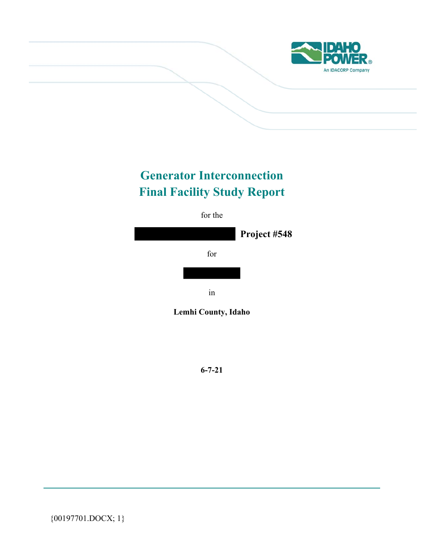

# **Generator Interconnection Final Facility Study Report**



**6-7-21**

{00197701.DOCX; 1}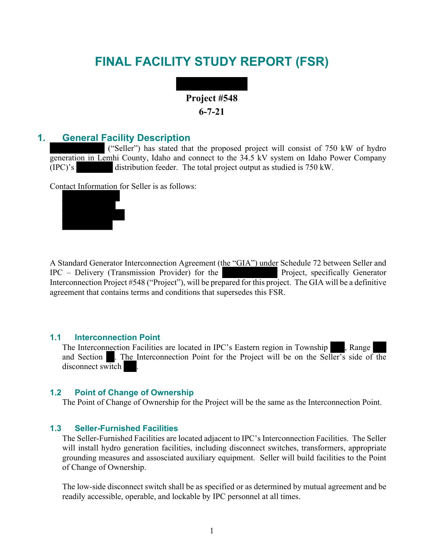## **FINAL FACILITY STUDY REPORT (FSR)**

## **Project #548 6-7-21**

## **1. General Facility Description**

 ("Seller") has stated that the proposed project will consist of 750 kW of hydro generation in Lemhi County, Idaho and connect to the 34.5 kV system on Idaho Power Company (IPC)'s distribution feeder. The total project output as studied is 750 kW.

Contact Information for Seller is as follows:



A Standard Generator Interconnection Agreement (the "GIA") under Schedule 72 between Seller and IPC – Delivery (Transmission Provider) for the Project, specifically Generator Interconnection Project #548 ("Project"), will be prepared for this project. The GIA will be a definitive agreement that contains terms and conditions that supersedes this FSR.

#### **1.1 Interconnection Point**

The Interconnection Facilities are located in IPC's Eastern region in Township , Range and Section . The Interconnection Point for the Project will be on the Seller's side of the disconnect switch .

#### **1.2 Point of Change of Ownership**

The Point of Change of Ownership for the Project will be the same as the Interconnection Point.

#### **1.3 Seller-Furnished Facilities**

The Seller-Furnished Facilities are located adjacent to IPC's Interconnection Facilities. The Seller will install hydro generation facilities, including disconnect switches, transformers, appropriate grounding measures and assosciated auxiliary equipment. Seller will build facilities to the Point of Change of Ownership.

The low-side disconnect switch shall be as specified or as determined by mutual agreement and be readily accessible, operable, and lockable by IPC personnel at all times.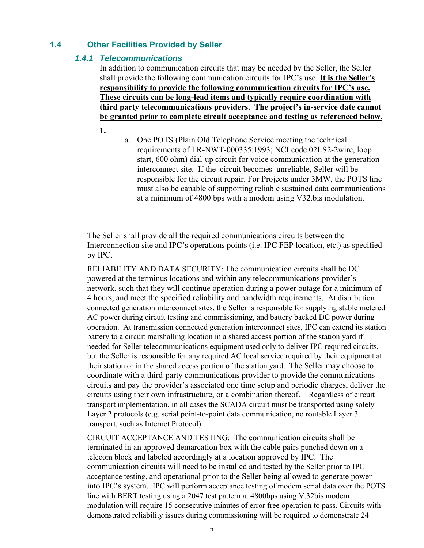## **1.4 Other Facilities Provided by Seller**

#### *1.4.1 Telecommunications*

In addition to communication circuits that may be needed by the Seller, the Seller shall provide the following communication circuits for IPC's use. **It is the Seller's responsibility to provide the following communication circuits for IPC's use. These circuits can be long-lead items and typically require coordination with third party telecommunications providers. The project's in-service date cannot be granted prior to complete circuit acceptance and testing as referenced below.** 

**1.**

a. One POTS (Plain Old Telephone Service meeting the technical requirements of TR-NWT-000335:1993; NCI code 02LS2-2wire, loop start, 600 ohm) dial-up circuit for voice communication at the generation interconnect site. If the circuit becomes unreliable, Seller will be responsible for the circuit repair. For Projects under 3MW, the POTS line must also be capable of supporting reliable sustained data communications at a minimum of 4800 bps with a modem using V32.bis modulation.

The Seller shall provide all the required communications circuits between the Interconnection site and IPC's operations points (i.e. IPC FEP location, etc.) as specified by IPC.

RELIABILITY AND DATA SECURITY: The communication circuits shall be DC powered at the terminus locations and within any telecommunications provider's network, such that they will continue operation during a power outage for a minimum of 4 hours, and meet the specified reliability and bandwidth requirements. At distribution connected generation interconnect sites, the Seller is responsible for supplying stable metered AC power during circuit testing and commissioning, and battery backed DC power during operation. At transmission connected generation interconnect sites, IPC can extend its station battery to a circuit marshalling location in a shared access portion of the station yard if needed for Seller telecommunications equipment used only to deliver IPC required circuits, but the Seller is responsible for any required AC local service required by their equipment at their station or in the shared access portion of the station yard. The Seller may choose to coordinate with a third-party communications provider to provide the communications circuits and pay the provider's associated one time setup and periodic charges, deliver the circuits using their own infrastructure, or a combination thereof. Regardless of circuit transport implementation, in all cases the SCADA circuit must be transported using solely Layer 2 protocols (e.g. serial point-to-point data communication, no routable Layer 3 transport, such as Internet Protocol).

CIRCUIT ACCEPTANCE AND TESTING: The communication circuits shall be terminated in an approved demarcation box with the cable pairs punched down on a telecom block and labeled accordingly at a location approved by IPC. The communication circuits will need to be installed and tested by the Seller prior to IPC acceptance testing, and operational prior to the Seller being allowed to generate power into IPC's system. IPC will perform acceptance testing of modem serial data over the POTS line with BERT testing using a 2047 test pattern at 4800bps using V.32bis modem modulation will require 15 consecutive minutes of error free operation to pass. Circuits with demonstrated reliability issues during commissioning will be required to demonstrate 24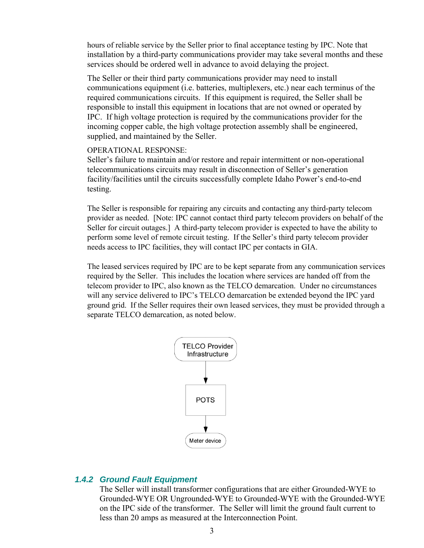hours of reliable service by the Seller prior to final acceptance testing by IPC. Note that installation by a third-party communications provider may take several months and these services should be ordered well in advance to avoid delaying the project.

The Seller or their third party communications provider may need to install communications equipment (i.e. batteries, multiplexers, etc.) near each terminus of the required communications circuits. If this equipment is required, the Seller shall be responsible to install this equipment in locations that are not owned or operated by IPC. If high voltage protection is required by the communications provider for the incoming copper cable, the high voltage protection assembly shall be engineered, supplied, and maintained by the Seller.

#### OPERATIONAL RESPONSE:

Seller's failure to maintain and/or restore and repair intermittent or non-operational telecommunications circuits may result in disconnection of Seller's generation facility/facilities until the circuits successfully complete Idaho Power's end-to-end testing.

The Seller is responsible for repairing any circuits and contacting any third-party telecom provider as needed. [Note: IPC cannot contact third party telecom providers on behalf of the Seller for circuit outages.] A third-party telecom provider is expected to have the ability to perform some level of remote circuit testing. If the Seller's third party telecom provider needs access to IPC facilities, they will contact IPC per contacts in GIA.

The leased services required by IPC are to be kept separate from any communication services required by the Seller. This includes the location where services are handed off from the telecom provider to IPC, also known as the TELCO demarcation. Under no circumstances will any service delivered to IPC's TELCO demarcation be extended beyond the IPC yard ground grid. If the Seller requires their own leased services, they must be provided through a separate TELCO demarcation, as noted below.



#### *1.4.2 Ground Fault Equipment*

The Seller will install transformer configurations that are either Grounded-WYE to Grounded-WYE OR Ungrounded-WYE to Grounded-WYE with the Grounded-WYE on the IPC side of the transformer. The Seller will limit the ground fault current to less than 20 amps as measured at the Interconnection Point.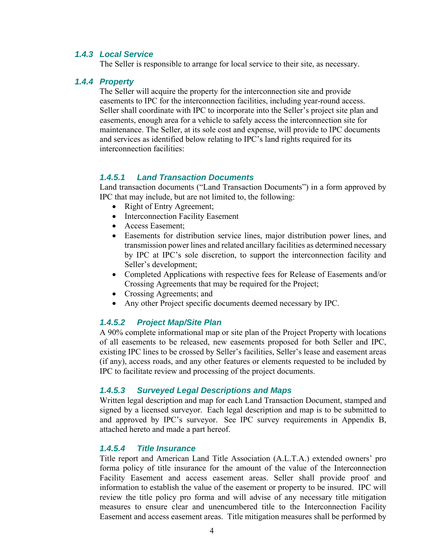#### *1.4.3 Local Service*

The Seller is responsible to arrange for local service to their site, as necessary.

#### *1.4.4 Property*

The Seller will acquire the property for the interconnection site and provide easements to IPC for the interconnection facilities, including year-round access. Seller shall coordinate with IPC to incorporate into the Seller's project site plan and easements, enough area for a vehicle to safely access the interconnection site for maintenance. The Seller, at its sole cost and expense, will provide to IPC documents and services as identified below relating to IPC's land rights required for its interconnection facilities:

#### *1.4.5.1 Land Transaction Documents*

Land transaction documents ("Land Transaction Documents") in a form approved by IPC that may include, but are not limited to, the following:

- Right of Entry Agreement;
- Interconnection Facility Easement
- Access Easement;
- Easements for distribution service lines, major distribution power lines, and transmission power lines and related ancillary facilities as determined necessary by IPC at IPC's sole discretion, to support the interconnection facility and Seller's development;
- Completed Applications with respective fees for Release of Easements and/or Crossing Agreements that may be required for the Project;
- Crossing Agreements; and
- Any other Project specific documents deemed necessary by IPC.

#### *1.4.5.2 Project Map/Site Plan*

A 90% complete informational map or site plan of the Project Property with locations of all easements to be released, new easements proposed for both Seller and IPC, existing IPC lines to be crossed by Seller's facilities, Seller's lease and easement areas (if any), access roads, and any other features or elements requested to be included by IPC to facilitate review and processing of the project documents.

#### *1.4.5.3 Surveyed Legal Descriptions and Maps*

Written legal description and map for each Land Transaction Document, stamped and signed by a licensed surveyor. Each legal description and map is to be submitted to and approved by IPC's surveyor. See IPC survey requirements in Appendix B, attached hereto and made a part hereof.

#### *1.4.5.4 Title Insurance*

Title report and American Land Title Association (A.L.T.A.) extended owners' pro forma policy of title insurance for the amount of the value of the Interconnection Facility Easement and access easement areas. Seller shall provide proof and information to establish the value of the easement or property to be insured. IPC will review the title policy pro forma and will advise of any necessary title mitigation measures to ensure clear and unencumbered title to the Interconnection Facility Easement and access easement areas. Title mitigation measures shall be performed by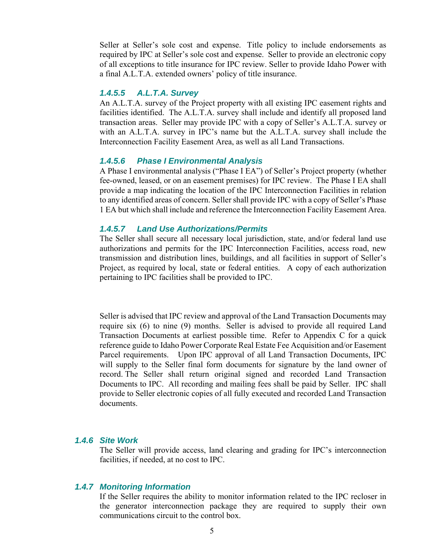Seller at Seller's sole cost and expense. Title policy to include endorsements as required by IPC at Seller's sole cost and expense. Seller to provide an electronic copy of all exceptions to title insurance for IPC review. Seller to provide Idaho Power with a final A.L.T.A. extended owners' policy of title insurance.

#### *1.4.5.5 A.L.T.A. Survey*

An A.L.T.A. survey of the Project property with all existing IPC easement rights and facilities identified. The A.L.T.A. survey shall include and identify all proposed land transaction areas. Seller may provide IPC with a copy of Seller's A.L.T.A. survey or with an A.L.T.A. survey in IPC's name but the A.L.T.A. survey shall include the Interconnection Facility Easement Area, as well as all Land Transactions.

#### *1.4.5.6 Phase I Environmental Analysis*

A Phase I environmental analysis ("Phase I EA") of Seller's Project property (whether fee-owned, leased, or on an easement premises) for IPC review. The Phase I EA shall provide a map indicating the location of the IPC Interconnection Facilities in relation to any identified areas of concern. Seller shall provide IPC with a copy of Seller's Phase 1 EA but which shall include and reference the Interconnection Facility Easement Area.

#### *1.4.5.7 Land Use Authorizations/Permits*

The Seller shall secure all necessary local jurisdiction, state, and/or federal land use authorizations and permits for the IPC Interconnection Facilities, access road, new transmission and distribution lines, buildings, and all facilities in support of Seller's Project, as required by local, state or federal entities. A copy of each authorization pertaining to IPC facilities shall be provided to IPC.

Seller is advised that IPC review and approval of the Land Transaction Documents may require six (6) to nine (9) months. Seller is advised to provide all required Land Transaction Documents at earliest possible time. Refer to Appendix C for a quick reference guide to Idaho Power Corporate Real Estate Fee Acquisition and/or Easement Parcel requirements. Upon IPC approval of all Land Transaction Documents, IPC will supply to the Seller final form documents for signature by the land owner of record. The Seller shall return original signed and recorded Land Transaction Documents to IPC. All recording and mailing fees shall be paid by Seller. IPC shall provide to Seller electronic copies of all fully executed and recorded Land Transaction documents.

#### *1.4.6 Site Work*

The Seller will provide access, land clearing and grading for IPC's interconnection facilities, if needed, at no cost to IPC.

#### *1.4.7 Monitoring Information*

If the Seller requires the ability to monitor information related to the IPC recloser in the generator interconnection package they are required to supply their own communications circuit to the control box.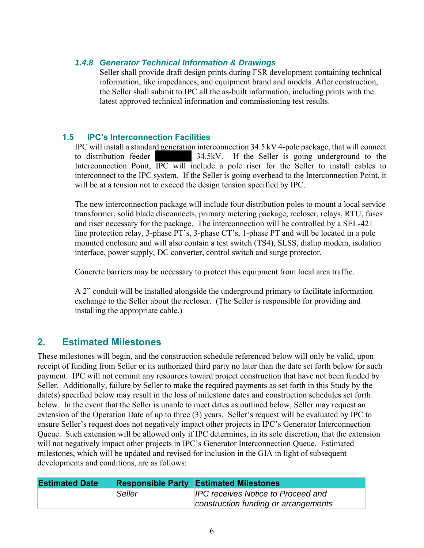## *1.4.8 Generator Technical Information & Drawings*

Seller shall provide draft design prints during FSR development containing technical information, like impedances, and equipment brand and models. After construction, the Seller shall submit to IPC all the as-built information, including prints with the latest approved technical information and commissioning test results.

## **1.5 IPC's Interconnection Facilities**

IPC will install a standard generation interconnection 34.5 kV 4-pole package, that will connect to distribution feeder 34.5kV. If the Seller is going underground to the Interconnection Point, IPC will include a pole riser for the Seller to install cables to interconnect to the IPC system. If the Seller is going overhead to the Interconnection Point, it will be at a tension not to exceed the design tension specified by IPC.

The new interconnection package will include four distribution poles to mount a local service transformer, solid blade disconnects, primary metering package, recloser, relays, RTU, fuses and riser necessary for the package. The interconnection will be controlled by a SEL-421 line protection relay, 3-phase PT's, 3-phase CT's, 1-phase PT and will be located in a pole mounted enclosure and will also contain a test switch (TS4), SLSS, dialup modem, isolation interface, power supply, DC converter, control switch and surge protector.

Concrete barriers may be necessary to protect this equipment from local area traffic.

A 2" conduit will be installed alongside the underground primary to facilitate information exchange to the Seller about the recloser. (The Seller is responsible for providing and installing the appropriate cable.)

## **2. Estimated Milestones**

These milestones will begin, and the construction schedule referenced below will only be valid, upon receipt of funding from Seller or its authorized third party no later than the date set forth below for such payment. IPC will not commit any resources toward project construction that have not been funded by Seller. Additionally, failure by Seller to make the required payments as set forth in this Study by the date(s) specified below may result in the loss of milestone dates and construction schedules set forth below. In the event that the Seller is unable to meet dates as outlined below, Seller may request an extension of the Operation Date of up to three (3) years. Seller's request will be evaluated by IPC to ensure Seller's request does not negatively impact other projects in IPC's Generator Interconnection Queue. Such extension will be allowed only if IPC determines, in its sole discretion, that the extension will not negatively impact other projects in IPC's Generator Interconnection Queue. Estimated milestones, which will be updated and revised for inclusion in the GIA in light of subsequent developments and conditions, are as follows:

| <b>Estimated Date</b> |        | <b>Responsible Party Estimated Milestones</b> |
|-----------------------|--------|-----------------------------------------------|
|                       | Seller | <b>IPC receives Notice to Proceed and</b>     |
|                       |        | construction funding or arrangements          |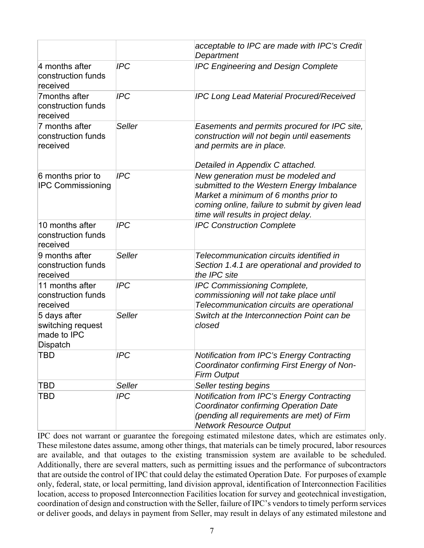|                                                                     |               | acceptable to IPC are made with IPC's Credit<br>Department                                                                                                                                                        |  |  |
|---------------------------------------------------------------------|---------------|-------------------------------------------------------------------------------------------------------------------------------------------------------------------------------------------------------------------|--|--|
| 4 months after<br>construction funds<br>received                    | <b>IPC</b>    | <b>IPC Engineering and Design Complete</b>                                                                                                                                                                        |  |  |
| 7months after<br>construction funds<br>received                     | <b>IPC</b>    | <b>IPC Long Lead Material Procured/Received</b>                                                                                                                                                                   |  |  |
| 7 months after<br>construction funds<br>received                    | <b>Seller</b> | Easements and permits procured for IPC site,<br>construction will not begin until easements<br>and permits are in place.                                                                                          |  |  |
|                                                                     |               | Detailed in Appendix C attached.                                                                                                                                                                                  |  |  |
| 6 months prior to<br><b>IPC Commissioning</b>                       | <b>IPC</b>    | New generation must be modeled and<br>submitted to the Western Energy Imbalance<br>Market a minimum of 6 months prior to<br>coming online, failure to submit by given lead<br>time will results in project delay. |  |  |
| 10 months after<br>construction funds<br>received                   | <b>IPC</b>    | <b>IPC Construction Complete</b>                                                                                                                                                                                  |  |  |
| 9 months after<br>construction funds<br>received                    | <b>Seller</b> | Telecommunication circuits identified in<br>Section 1.4.1 are operational and provided to<br>the IPC site                                                                                                         |  |  |
| 11 months after<br>construction funds<br>received                   | <b>IPC</b>    | <b>IPC Commissioning Complete,</b><br>commissioning will not take place until<br>Telecommunication circuits are operational                                                                                       |  |  |
| 5 days after<br>switching request<br>made to IPC<br><b>Dispatch</b> | Seller        | Switch at the Interconnection Point can be<br>closed                                                                                                                                                              |  |  |
| TBD                                                                 | <b>IPC</b>    | <b>Notification from IPC's Energy Contracting</b><br>Coordinator confirming First Energy of Non-<br><b>Firm Output</b>                                                                                            |  |  |
| TBD                                                                 | Seller        | Seller testing begins                                                                                                                                                                                             |  |  |
| TBD                                                                 | <b>IPC</b>    | Notification from IPC's Energy Contracting<br><b>Coordinator confirming Operation Date</b><br>(pending all requirements are met) of Firm<br><b>Network Resource Output</b>                                        |  |  |

IPC does not warrant or guarantee the foregoing estimated milestone dates, which are estimates only. These milestone dates assume, among other things, that materials can be timely procured, labor resources are available, and that outages to the existing transmission system are available to be scheduled. Additionally, there are several matters, such as permitting issues and the performance of subcontractors that are outside the control of IPC that could delay the estimated Operation Date. For purposes of example only, federal, state, or local permitting, land division approval, identification of Interconnection Facilities location, access to proposed Interconnection Facilities location for survey and geotechnical investigation, coordination of design and construction with the Seller, failure of IPC's vendors to timely perform services or deliver goods, and delays in payment from Seller, may result in delays of any estimated milestone and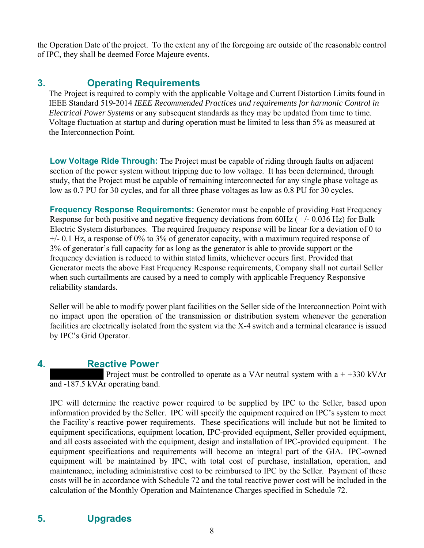the Operation Date of the project. To the extent any of the foregoing are outside of the reasonable control of IPC, they shall be deemed Force Majeure events.

## **3. Operating Requirements**

The Project is required to comply with the applicable Voltage and Current Distortion Limits found in IEEE Standard 519-2014 *IEEE Recommended Practices and requirements for harmonic Control in Electrical Power Systems* or any subsequent standards as they may be updated from time to time. Voltage fluctuation at startup and during operation must be limited to less than 5% as measured at the Interconnection Point.

**Low Voltage Ride Through:** The Project must be capable of riding through faults on adjacent section of the power system without tripping due to low voltage. It has been determined, through study, that the Project must be capable of remaining interconnected for any single phase voltage as low as 0.7 PU for 30 cycles, and for all three phase voltages as low as 0.8 PU for 30 cycles.

**Frequency Response Requirements:** Generator must be capable of providing Fast Frequency Response for both positive and negative frequency deviations from 60Hz  $(+/- 0.036$  Hz) for Bulk Electric System disturbances. The required frequency response will be linear for a deviation of 0 to +/- 0.1 Hz, a response of 0% to 3% of generator capacity, with a maximum required response of 3% of generator's full capacity for as long as the generator is able to provide support or the frequency deviation is reduced to within stated limits, whichever occurs first. Provided that Generator meets the above Fast Frequency Response requirements, Company shall not curtail Seller when such curtailments are caused by a need to comply with applicable Frequency Responsive reliability standards.

Seller will be able to modify power plant facilities on the Seller side of the Interconnection Point with no impact upon the operation of the transmission or distribution system whenever the generation facilities are electrically isolated from the system via the X-4 switch and a terminal clearance is issued by IPC's Grid Operator.

## **4. Reactive Power**

Project must be controlled to operate as a VAr neutral system with  $a + +330$  kVAr and -187.5 kVAr operating band.

IPC will determine the reactive power required to be supplied by IPC to the Seller, based upon information provided by the Seller. IPC will specify the equipment required on IPC's system to meet the Facility's reactive power requirements. These specifications will include but not be limited to equipment specifications, equipment location, IPC-provided equipment, Seller provided equipment, and all costs associated with the equipment, design and installation of IPC-provided equipment. The equipment specifications and requirements will become an integral part of the GIA. IPC-owned equipment will be maintained by IPC, with total cost of purchase, installation, operation, and maintenance, including administrative cost to be reimbursed to IPC by the Seller. Payment of these costs will be in accordance with Schedule 72 and the total reactive power cost will be included in the calculation of the Monthly Operation and Maintenance Charges specified in Schedule 72.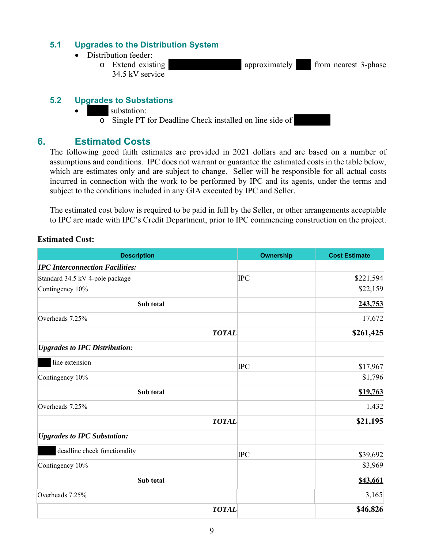### **5.1 Upgrades to the Distribution System**

- Distribution feeder:
	- o Extend existing approximately from nearest 3-phase 34.5 kV service

## **5.2 Upgrades to Substations**

- substation:
	- $\overline{\circ}$  Single PT for Deadline Check installed on line side of

## **6. Estimated Costs**

The following good faith estimates are provided in 2021 dollars and are based on a number of assumptions and conditions. IPC does not warrant or guarantee the estimated costs in the table below, which are estimates only and are subject to change. Seller will be responsible for all actual costs incurred in connection with the work to be performed by IPC and its agents, under the terms and subject to the conditions included in any GIA executed by IPC and Seller.

The estimated cost below is required to be paid in full by the Seller, or other arrangements acceptable to IPC are made with IPC's Credit Department, prior to IPC commencing construction on the project.

#### **Estimated Cost:**

| <b>Description</b>                     | <b>Ownership</b> | <b>Cost Estimate</b> |
|----------------------------------------|------------------|----------------------|
| <b>IPC Interconnection Facilities:</b> |                  |                      |
| Standard 34.5 kV 4-pole package        | <b>IPC</b>       | \$221,594            |
| Contingency 10%                        |                  | \$22,159             |
| Sub total                              |                  | 243,753              |
| Overheads 7.25%                        |                  | 17,672               |
| <b>TOTAL</b>                           |                  | \$261,425            |
| <b>Upgrades to IPC Distribution:</b>   |                  |                      |
| line extension                         | <b>IPC</b>       | \$17,967             |
| Contingency 10%                        |                  | \$1,796              |
| Sub total                              |                  | \$19,763             |
| Overheads 7.25%                        |                  | 1,432                |
| <b>TOTAL</b>                           |                  | \$21,195             |
| <b>Upgrades to IPC Substation:</b>     |                  |                      |
| deadline check functionality           | <b>IPC</b>       | \$39,692             |
| Contingency 10%                        |                  | \$3,969              |
| Sub total                              |                  | \$43,661             |
| Overheads 7.25%                        |                  | 3,165                |
| <b>TOTAL</b>                           |                  | \$46,826             |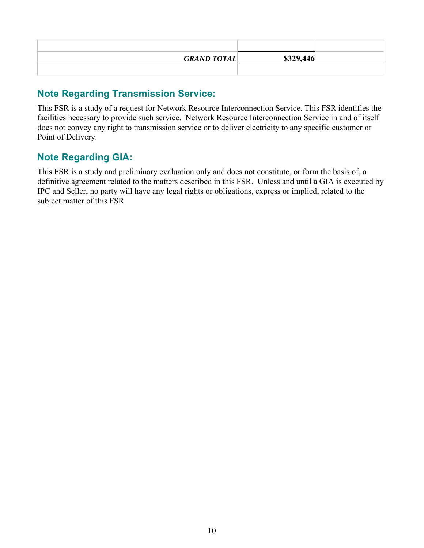| <b>GRAND TOTAL</b> | \$329,446 |  |
|--------------------|-----------|--|
|                    |           |  |

## **Note Regarding Transmission Service:**

This FSR is a study of a request for Network Resource Interconnection Service. This FSR identifies the facilities necessary to provide such service. Network Resource Interconnection Service in and of itself does not convey any right to transmission service or to deliver electricity to any specific customer or Point of Delivery.

## **Note Regarding GIA:**

This FSR is a study and preliminary evaluation only and does not constitute, or form the basis of, a definitive agreement related to the matters described in this FSR. Unless and until a GIA is executed by IPC and Seller, no party will have any legal rights or obligations, express or implied, related to the subject matter of this FSR.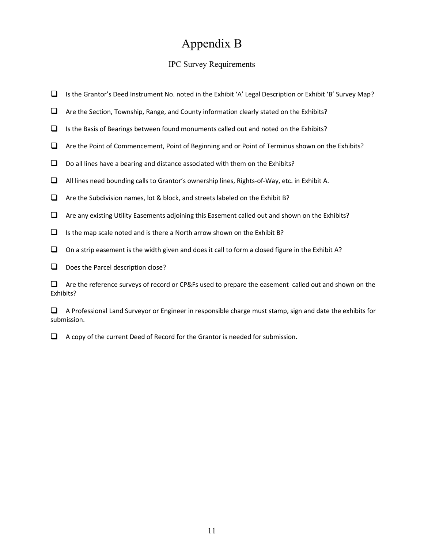## Appendix B

### IPC Survey Requirements

- Is the Grantor's Deed Instrument No. noted in the Exhibit 'A' Legal Description or Exhibit 'B' Survey Map?
- $\Box$  Are the Section, Township, Range, and County information clearly stated on the Exhibits?
- $\Box$  Is the Basis of Bearings between found monuments called out and noted on the Exhibits?
- $\Box$  Are the Point of Commencement, Point of Beginning and or Point of Terminus shown on the Exhibits?
- $\Box$  Do all lines have a bearing and distance associated with them on the Exhibits?
- All lines need bounding calls to Grantor's ownership lines, Rights‐of‐Way, etc. in Exhibit A.
- $\Box$  Are the Subdivision names, lot & block, and streets labeled on the Exhibit B?
- $\Box$  Are any existing Utility Easements adjoining this Easement called out and shown on the Exhibits?
- $\Box$  Is the map scale noted and is there a North arrow shown on the Exhibit B?
- $\Box$  On a strip easement is the width given and does it call to form a closed figure in the Exhibit A?
- $\Box$  Does the Parcel description close?

 $\Box$  Are the reference surveys of record or CP&Fs used to prepare the easement called out and shown on the Exhibits?

 $\Box$  A Professional Land Surveyor or Engineer in responsible charge must stamp, sign and date the exhibits for submission.

 $\Box$  A copy of the current Deed of Record for the Grantor is needed for submission.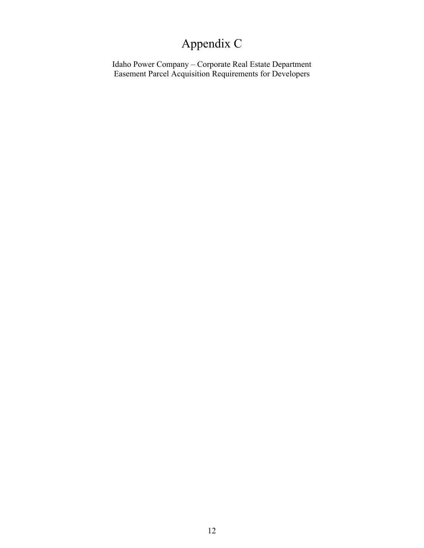# Appendix C

Idaho Power Company – Corporate Real Estate Department Easement Parcel Acquisition Requirements for Developers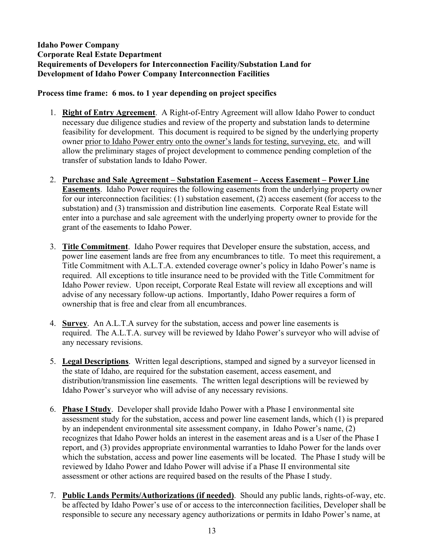### **Idaho Power Company Corporate Real Estate Department Requirements of Developers for Interconnection Facility/Substation Land for Development of Idaho Power Company Interconnection Facilities**

### **Process time frame: 6 mos. to 1 year depending on project specifics**

- 1. **Right of Entry Agreement**. A Right-of-Entry Agreement will allow Idaho Power to conduct necessary due diligence studies and review of the property and substation lands to determine feasibility for development. This document is required to be signed by the underlying property owner prior to Idaho Power entry onto the owner's lands for testing, surveying, etc. and will allow the preliminary stages of project development to commence pending completion of the transfer of substation lands to Idaho Power.
- 2. **Purchase and Sale Agreement Substation Easement Access Easement Power Line Easements**. Idaho Power requires the following easements from the underlying property owner for our interconnection facilities: (1) substation easement, (2) access easement (for access to the substation) and (3) transmission and distribution line easements. Corporate Real Estate will enter into a purchase and sale agreement with the underlying property owner to provide for the grant of the easements to Idaho Power.
- 3. **Title Commitment**. Idaho Power requires that Developer ensure the substation, access, and power line easement lands are free from any encumbrances to title. To meet this requirement, a Title Commitment with A.L.T.A. extended coverage owner's policy in Idaho Power's name is required. All exceptions to title insurance need to be provided with the Title Commitment for Idaho Power review. Upon receipt, Corporate Real Estate will review all exceptions and will advise of any necessary follow-up actions. Importantly, Idaho Power requires a form of ownership that is free and clear from all encumbrances.
- 4. **Survey**. An A.L.T.A survey for the substation, access and power line easements is required. The A.L.T.A. survey will be reviewed by Idaho Power's surveyor who will advise of any necessary revisions.
- 5. **Legal Descriptions**. Written legal descriptions, stamped and signed by a surveyor licensed in the state of Idaho, are required for the substation easement, access easement, and distribution/transmission line easements. The written legal descriptions will be reviewed by Idaho Power's surveyor who will advise of any necessary revisions.
- 6. **Phase I Study**. Developer shall provide Idaho Power with a Phase I environmental site assessment study for the substation, access and power line easement lands, which (1) is prepared by an independent environmental site assessment company, in Idaho Power's name, (2) recognizes that Idaho Power holds an interest in the easement areas and is a User of the Phase I report, and (3) provides appropriate environmental warranties to Idaho Power for the lands over which the substation, access and power line easements will be located. The Phase I study will be reviewed by Idaho Power and Idaho Power will advise if a Phase II environmental site assessment or other actions are required based on the results of the Phase I study.
- 7. **Public Lands Permits/Authorizations (if needed)**. Should any public lands, rights-of-way, etc. be affected by Idaho Power's use of or access to the interconnection facilities, Developer shall be responsible to secure any necessary agency authorizations or permits in Idaho Power's name, at